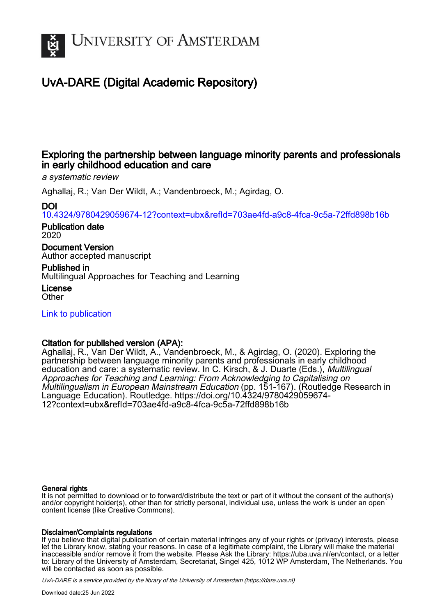

# UvA-DARE (Digital Academic Repository)

## Exploring the partnership between language minority parents and professionals in early childhood education and care

a systematic review

Aghallaj, R.; Van Der Wildt, A.; Vandenbroeck, M.; Agirdag, O.

## DOI

[10.4324/9780429059674-12?context=ubx&refId=703ae4fd-a9c8-4fca-9c5a-72ffd898b16b](https://doi.org/10.4324/9780429059674-12?context=ubx&refId=703ae4fd-a9c8-4fca-9c5a-72ffd898b16b)

#### Publication date 2020

Document Version

Author accepted manuscript

## Published in Multilingual Approaches for Teaching and Learning

License **Other** 

[Link to publication](https://dare.uva.nl/personal/pure/en/publications/exploring-the-partnership-between-language-minority-parents-and-professionals-in-early-childhood-education-and-care(2a6084f7-ee76-4c09-a42c-63109f50fa9d).html)

## Citation for published version (APA):

Aghallaj, R., Van Der Wildt, A., Vandenbroeck, M., & Agirdag, O. (2020). Exploring the partnership between language minority parents and professionals in early childhood education and care: a systematic review. In C. Kirsch, & J. Duarte (Eds.), Multilingual Approaches for Teaching and Learning: From Acknowledging to Capitalising on Multilingualism in European Mainstream Education (pp. 151-167). (Routledge Research in Language Education). Routledge. [https://doi.org/10.4324/9780429059674-](https://doi.org/10.4324/9780429059674-12?context=ubx&refId=703ae4fd-a9c8-4fca-9c5a-72ffd898b16b) [12?context=ubx&refId=703ae4fd-a9c8-4fca-9c5a-72ffd898b16b](https://doi.org/10.4324/9780429059674-12?context=ubx&refId=703ae4fd-a9c8-4fca-9c5a-72ffd898b16b)

#### General rights

It is not permitted to download or to forward/distribute the text or part of it without the consent of the author(s) and/or copyright holder(s), other than for strictly personal, individual use, unless the work is under an open content license (like Creative Commons).

#### Disclaimer/Complaints regulations

If you believe that digital publication of certain material infringes any of your rights or (privacy) interests, please let the Library know, stating your reasons. In case of a legitimate complaint, the Library will make the material inaccessible and/or remove it from the website. Please Ask the Library: https://uba.uva.nl/en/contact, or a letter to: Library of the University of Amsterdam, Secretariat, Singel 425, 1012 WP Amsterdam, The Netherlands. You will be contacted as soon as possible.

UvA-DARE is a service provided by the library of the University of Amsterdam (http*s*://dare.uva.nl)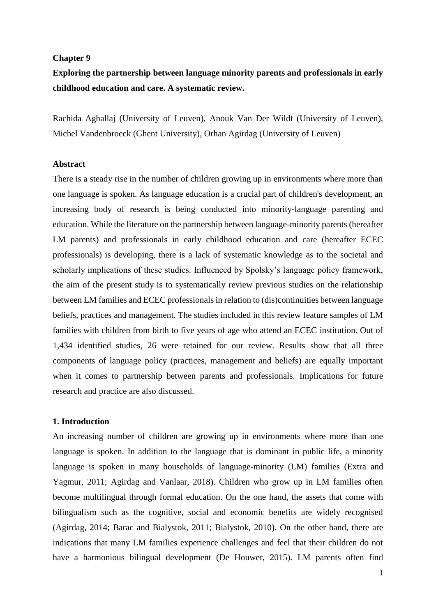#### **Chapter 9**

## **Exploring the partnership between language minority parents and professionals in early childhood education and care. A systematic review.**

Rachida Aghallaj (University of Leuven), Anouk Van Der Wildt (University of Leuven), Michel Vandenbroeck (Ghent University), Orhan Agirdag (University of Leuven)

#### **Abstract**

There is a steady rise in the number of children growing up in environments where more than one language is spoken. As language education is a crucial part of children's development, an increasing body of research is being conducted into minority-language parenting and education. While the literature on the partnership between language-minority parents (hereafter LM parents) and professionals in early childhood education and care (hereafter ECEC professionals) is developing, there is a lack of systematic knowledge as to the societal and scholarly implications of these studies. Influenced by Spolsky's language policy framework, the aim of the present study is to systematically review previous studies on the relationship between LM families and ECEC professionals in relation to (dis)continuities between language beliefs, practices and management. The studies included in this review feature samples of LM families with children from birth to five years of age who attend an ECEC institution. Out of 1,434 identified studies, 26 were retained for our review. Results show that all three components of language policy (practices, management and beliefs) are equally important when it comes to partnership between parents and professionals. Implications for future research and practice are also discussed.

## **1. Introduction**

An increasing number of children are growing up in environments where more than one language is spoken. In addition to the language that is dominant in public life, a minority language is spoken in many households of language-minority (LM) families (Extra and Yagmur, 2011; Agirdag and Vanlaar, 2018). Children who grow up in LM families often become multilingual through formal education. On the one hand, the assets that come with bilingualism such as the cognitive, social and economic benefits are widely recognised (Agirdag, 2014; Barac and Bialystok, 2011; Bialystok, 2010). On the other hand, there are indications that many LM families experience challenges and feel that their children do not have a harmonious bilingual development (De Houwer, 2015). LM parents often find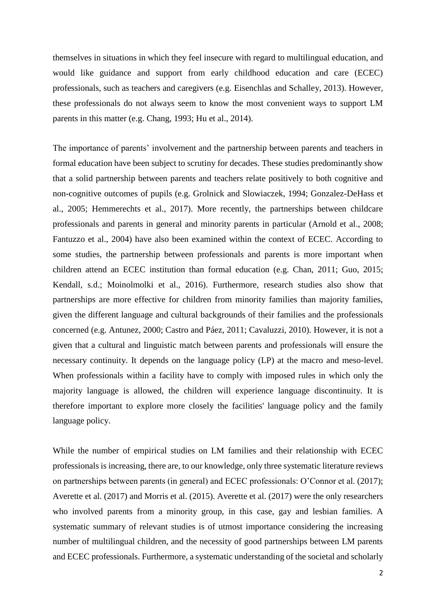themselves in situations in which they feel insecure with regard to multilingual education, and would like guidance and support from early childhood education and care (ECEC) professionals, such as teachers and caregivers (e.g. Eisenchlas and Schalley, 2013). However, these professionals do not always seem to know the most convenient ways to support LM parents in this matter (e.g. Chang, 1993; Hu et al., 2014).

The importance of parents' involvement and the partnership between parents and teachers in formal education have been subject to scrutiny for decades. These studies predominantly show that a solid partnership between parents and teachers relate positively to both cognitive and non-cognitive outcomes of pupils (e.g. Grolnick and Slowiaczek, 1994; Gonzalez-DeHass et al., 2005; Hemmerechts et al., 2017). More recently, the partnerships between childcare professionals and parents in general and minority parents in particular (Arnold et al., 2008; Fantuzzo et al., 2004) have also been examined within the context of ECEC. According to some studies, the partnership between professionals and parents is more important when children attend an ECEC institution than formal education (e.g. Chan, 2011; Guo, 2015; Kendall, s.d.; Moinolmolki et al., 2016). Furthermore, research studies also show that partnerships are more effective for children from minority families than majority families, given the different language and cultural backgrounds of their families and the professionals concerned (e.g. Antunez, 2000; Castro and Páez, 2011; Cavaluzzi, 2010). However, it is not a given that a cultural and linguistic match between parents and professionals will ensure the necessary continuity. It depends on the language policy (LP) at the macro and meso-level. When professionals within a facility have to comply with imposed rules in which only the majority language is allowed, the children will experience language discontinuity. It is therefore important to explore more closely the facilities' language policy and the family language policy.

While the number of empirical studies on LM families and their relationship with ECEC professionals is increasing, there are, to our knowledge, only three systematic literature reviews on partnerships between parents (in general) and ECEC professionals: O'Connor et al. (2017); Averette et al. (2017) and Morris et al. (2015). Averette et al. (2017) were the only researchers who involved parents from a minority group, in this case, gay and lesbian families. A systematic summary of relevant studies is of utmost importance considering the increasing number of multilingual children, and the necessity of good partnerships between LM parents and ECEC professionals. Furthermore, a systematic understanding of the societal and scholarly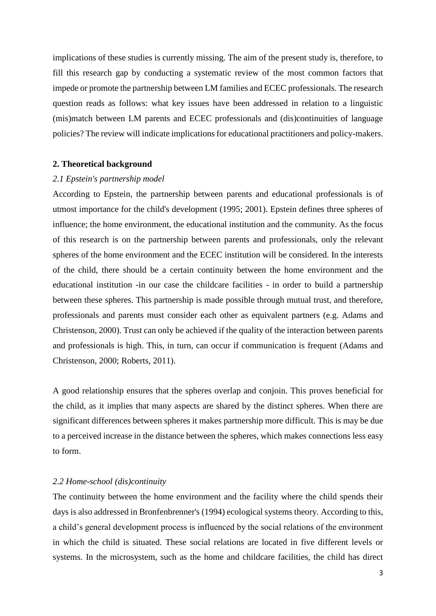implications of these studies is currently missing. The aim of the present study is, therefore, to fill this research gap by conducting a systematic review of the most common factors that impede or promote the partnership between LM families and ECEC professionals. The research question reads as follows: what key issues have been addressed in relation to a linguistic (mis)match between LM parents and ECEC professionals and (dis)continuities of language policies? The review will indicate implications for educational practitioners and policy-makers.

#### **2. Theoretical background**

#### *2.1 Epstein's partnership model*

According to Epstein, the partnership between parents and educational professionals is of utmost importance for the child's development (1995; 2001). Epstein defines three spheres of influence; the home environment, the educational institution and the community. As the focus of this research is on the partnership between parents and professionals, only the relevant spheres of the home environment and the ECEC institution will be considered. In the interests of the child, there should be a certain continuity between the home environment and the educational institution -in our case the childcare facilities - in order to build a partnership between these spheres. This partnership is made possible through mutual trust, and therefore, professionals and parents must consider each other as equivalent partners (e.g. Adams and Christenson, 2000). Trust can only be achieved if the quality of the interaction between parents and professionals is high. This, in turn, can occur if communication is frequent (Adams and Christenson, 2000; Roberts, 2011).

A good relationship ensures that the spheres overlap and conjoin. This proves beneficial for the child, as it implies that many aspects are shared by the distinct spheres. When there are significant differences between spheres it makes partnership more difficult. This is may be due to a perceived increase in the distance between the spheres, which makes connections less easy to form.

#### *2.2 Home-school (dis)continuity*

The continuity between the home environment and the facility where the child spends their days is also addressed in Bronfenbrenner's (1994) ecological systems theory. According to this, a child's general development process is influenced by the social relations of the environment in which the child is situated. These social relations are located in five different levels or systems. In the microsystem, such as the home and childcare facilities, the child has direct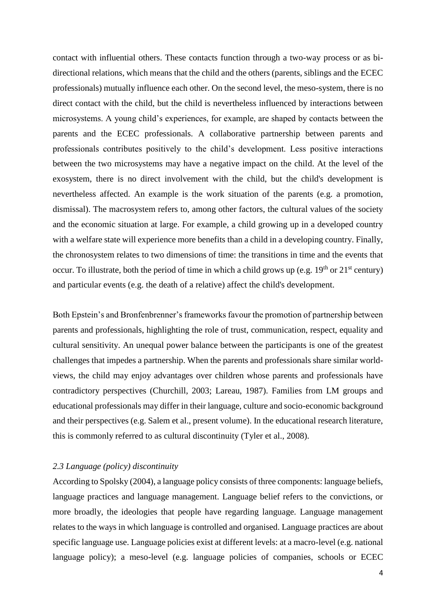contact with influential others. These contacts function through a two-way process or as bidirectional relations, which means that the child and the others (parents, siblings and the ECEC professionals) mutually influence each other. On the second level, the meso-system, there is no direct contact with the child, but the child is nevertheless influenced by interactions between microsystems. A young child's experiences, for example, are shaped by contacts between the parents and the ECEC professionals. A collaborative partnership between parents and professionals contributes positively to the child's development. Less positive interactions between the two microsystems may have a negative impact on the child. At the level of the exosystem, there is no direct involvement with the child, but the child's development is nevertheless affected. An example is the work situation of the parents (e.g. a promotion, dismissal). The macrosystem refers to, among other factors, the cultural values of the society and the economic situation at large. For example, a child growing up in a developed country with a welfare state will experience more benefits than a child in a developing country. Finally, the chronosystem relates to two dimensions of time: the transitions in time and the events that occur. To illustrate, both the period of time in which a child grows up (e.g.  $19<sup>th</sup>$  or  $21<sup>st</sup>$  century) and particular events (e.g. the death of a relative) affect the child's development.

Both Epstein's and Bronfenbrenner's frameworks favour the promotion of partnership between parents and professionals, highlighting the role of trust, communication, respect, equality and cultural sensitivity. An unequal power balance between the participants is one of the greatest challenges that impedes a partnership. When the parents and professionals share similar worldviews, the child may enjoy advantages over children whose parents and professionals have contradictory perspectives (Churchill, 2003; Lareau, 1987). Families from LM groups and educational professionals may differ in their language, culture and socio-economic background and their perspectives (e.g. Salem et al., present volume). In the educational research literature, this is commonly referred to as cultural discontinuity (Tyler et al., 2008).

## *2.3 Language (policy) discontinuity*

According to Spolsky (2004), a language policy consists of three components: language beliefs, language practices and language management. Language belief refers to the convictions, or more broadly, the ideologies that people have regarding language. Language management relates to the ways in which language is controlled and organised. Language practices are about specific language use. Language policies exist at different levels: at a macro-level (e.g. national language policy); a meso-level (e.g. language policies of companies, schools or ECEC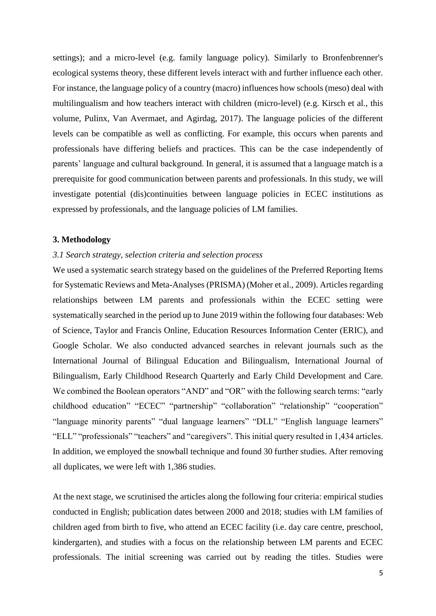settings); and a micro-level (e.g. family language policy). Similarly to Bronfenbrenner's ecological systems theory, these different levels interact with and further influence each other. For instance, the language policy of a country (macro) influences how schools (meso) deal with multilingualism and how teachers interact with children (micro-level) (e.g. Kirsch et al., this volume, Pulinx, Van Avermaet, and Agirdag, 2017). The language policies of the different levels can be compatible as well as conflicting. For example, this occurs when parents and professionals have differing beliefs and practices. This can be the case independently of parents' language and cultural background. In general, it is assumed that a language match is a prerequisite for good communication between parents and professionals. In this study, we will investigate potential (dis)continuities between language policies in ECEC institutions as expressed by professionals, and the language policies of LM families.

#### **3. Methodology**

## *3.1 Search strategy, selection criteria and selection process*

We used a systematic search strategy based on the guidelines of the Preferred Reporting Items for Systematic Reviews and Meta-Analyses (PRISMA) (Moher et al., 2009). Articles regarding relationships between LM parents and professionals within the ECEC setting were systematically searched in the period up to June 2019 within the following four databases: Web of Science, Taylor and Francis Online, Education Resources Information Center (ERIC), and Google Scholar. We also conducted advanced searches in relevant journals such as the International Journal of Bilingual Education and Bilingualism, International Journal of Bilingualism, Early Childhood Research Quarterly and Early Child Development and Care. We combined the Boolean operators "AND" and "OR" with the following search terms: "early childhood education" "ECEC" "partnership" "collaboration" "relationship" "cooperation" "language minority parents" "dual language learners" "DLL" "English language learners" "ELL" "professionals" "teachers" and "caregivers". This initial query resulted in 1,434 articles. In addition, we employed the snowball technique and found 30 further studies. After removing all duplicates, we were left with 1,386 studies.

At the next stage, we scrutinised the articles along the following four criteria: empirical studies conducted in English; publication dates between 2000 and 2018; studies with LM families of children aged from birth to five, who attend an ECEC facility (i.e. day care centre, preschool, kindergarten), and studies with a focus on the relationship between LM parents and ECEC professionals. The initial screening was carried out by reading the titles. Studies were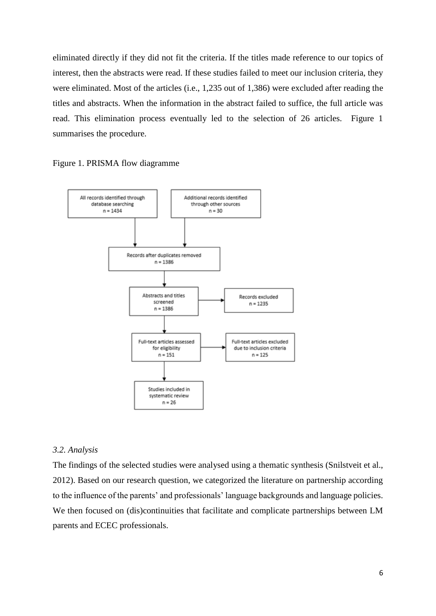eliminated directly if they did not fit the criteria. If the titles made reference to our topics of interest, then the abstracts were read. If these studies failed to meet our inclusion criteria, they were eliminated. Most of the articles (i.e., 1,235 out of 1,386) were excluded after reading the titles and abstracts. When the information in the abstract failed to suffice, the full article was read. This elimination process eventually led to the selection of 26 articles. Figure 1 summarises the procedure.

Figure 1. PRISMA flow diagramme



#### *3.2. Analysis*

The findings of the selected studies were analysed using a thematic synthesis (Snilstveit et al., 2012). Based on our research question, we categorized the literature on partnership according to the influence of the parents' and professionals' language backgrounds and language policies. We then focused on (dis)continuities that facilitate and complicate partnerships between LM parents and ECEC professionals.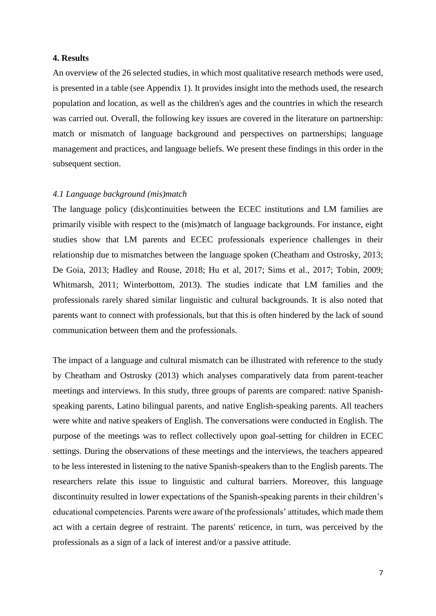## **4. Results**

An overview of the 26 selected studies, in which most qualitative research methods were used, is presented in a table (see Appendix 1). It provides insight into the methods used, the research population and location, as well as the children's ages and the countries in which the research was carried out. Overall, the following key issues are covered in the literature on partnership: match or mismatch of language background and perspectives on partnerships; language management and practices, and language beliefs. We present these findings in this order in the subsequent section.

## *4.1 Language background (mis)match*

The language policy (dis)continuities between the ECEC institutions and LM families are primarily visible with respect to the (mis)match of language backgrounds. For instance, eight studies show that LM parents and ECEC professionals experience challenges in their relationship due to mismatches between the language spoken (Cheatham and Ostrosky, 2013; De Goia, 2013; Hadley and Rouse, 2018; Hu et al, 2017; Sims et al., 2017; Tobin, 2009; Whitmarsh, 2011; Winterbottom, 2013). The studies indicate that LM families and the professionals rarely shared similar linguistic and cultural backgrounds. It is also noted that parents want to connect with professionals, but that this is often hindered by the lack of sound communication between them and the professionals.

The impact of a language and cultural mismatch can be illustrated with reference to the study by Cheatham and Ostrosky (2013) which analyses comparatively data from parent-teacher meetings and interviews. In this study, three groups of parents are compared: native Spanishspeaking parents, Latino bilingual parents, and native English-speaking parents. All teachers were white and native speakers of English. The conversations were conducted in English. The purpose of the meetings was to reflect collectively upon goal-setting for children in ECEC settings. During the observations of these meetings and the interviews, the teachers appeared to be less interested in listening to the native Spanish-speakers than to the English parents. The researchers relate this issue to linguistic and cultural barriers. Moreover, this language discontinuity resulted in lower expectations of the Spanish-speaking parents in their children's educational competencies. Parents were aware of the professionals' attitudes, which made them act with a certain degree of restraint. The parents' reticence, in turn, was perceived by the professionals as a sign of a lack of interest and/or a passive attitude.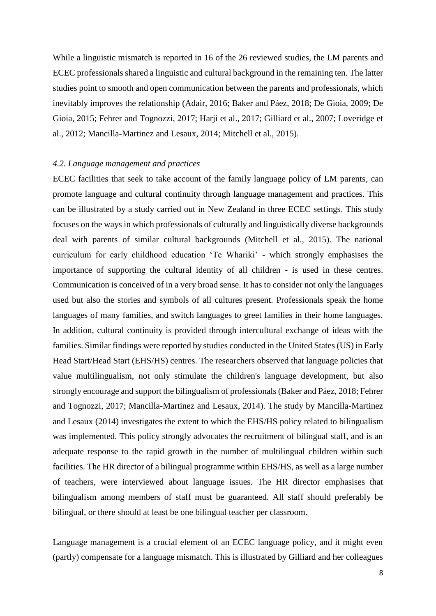While a linguistic mismatch is reported in 16 of the 26 reviewed studies, the LM parents and ECEC professionals shared a linguistic and cultural background in the remaining ten. The latter studies point to smooth and open communication between the parents and professionals, which inevitably improves the relationship (Adair, 2016; Baker and Páez, 2018; De Gioia, 2009; De Gioia, 2015; Fehrer and Tognozzi, 2017; Harji et al., 2017; Gilliard et al., 2007; Loveridge et al., 2012; Mancilla-Martinez and Lesaux, 2014; Mitchell et al., 2015).

#### *4.2. Language management and practices*

ECEC facilities that seek to take account of the family language policy of LM parents, can promote language and cultural continuity through language management and practices. This can be illustrated by a study carried out in New Zealand in three ECEC settings. This study focuses on the ways in which professionals of culturally and linguistically diverse backgrounds deal with parents of similar cultural backgrounds (Mitchell et al., 2015). The national curriculum for early childhood education 'Te Whariki' - which strongly emphasises the importance of supporting the cultural identity of all children - is used in these centres. Communication is conceived of in a very broad sense. It has to consider not only the languages used but also the stories and symbols of all cultures present. Professionals speak the home languages of many families, and switch languages to greet families in their home languages. In addition, cultural continuity is provided through intercultural exchange of ideas with the families. Similar findings were reported by studies conducted in the United States (US) in Early Head Start/Head Start (EHS/HS) centres. The researchers observed that language policies that value multilingualism, not only stimulate the children's language development, but also strongly encourage and support the bilingualism of professionals (Baker and Páez, 2018; Fehrer and Tognozzi, 2017; Mancilla-Martinez and Lesaux, 2014). The study by Mancilla-Martinez and Lesaux (2014) investigates the extent to which the EHS/HS policy related to bilingualism was implemented. This policy strongly advocates the recruitment of bilingual staff, and is an adequate response to the rapid growth in the number of multilingual children within such facilities. The HR director of a bilingual programme within EHS/HS, as well as a large number of teachers, were interviewed about language issues. The HR director emphasises that bilingualism among members of staff must be guaranteed. All staff should preferably be bilingual, or there should at least be one bilingual teacher per classroom.

Language management is a crucial element of an ECEC language policy, and it might even (partly) compensate for a language mismatch. This is illustrated by Gilliard and her colleagues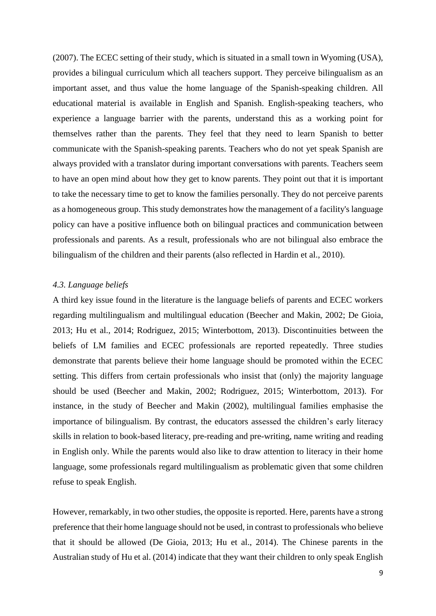(2007). The ECEC setting of their study, which is situated in a small town in Wyoming (USA), provides a bilingual curriculum which all teachers support. They perceive bilingualism as an important asset, and thus value the home language of the Spanish-speaking children. All educational material is available in English and Spanish. English-speaking teachers, who experience a language barrier with the parents, understand this as a working point for themselves rather than the parents. They feel that they need to learn Spanish to better communicate with the Spanish-speaking parents. Teachers who do not yet speak Spanish are always provided with a translator during important conversations with parents. Teachers seem to have an open mind about how they get to know parents. They point out that it is important to take the necessary time to get to know the families personally. They do not perceive parents as a homogeneous group. This study demonstrates how the management of a facility's language policy can have a positive influence both on bilingual practices and communication between professionals and parents. As a result, professionals who are not bilingual also embrace the bilingualism of the children and their parents (also reflected in Hardin et al., 2010).

#### *4.3. Language beliefs*

A third key issue found in the literature is the language beliefs of parents and ECEC workers regarding multilingualism and multilingual education (Beecher and Makin, 2002; De Gioia, 2013; Hu et al., 2014; Rodriguez, 2015; Winterbottom, 2013). Discontinuities between the beliefs of LM families and ECEC professionals are reported repeatedly. Three studies demonstrate that parents believe their home language should be promoted within the ECEC setting. This differs from certain professionals who insist that (only) the majority language should be used (Beecher and Makin, 2002; Rodriguez, 2015; Winterbottom, 2013). For instance, in the study of Beecher and Makin (2002), multilingual families emphasise the importance of bilingualism. By contrast, the educators assessed the children's early literacy skills in relation to book-based literacy, pre-reading and pre-writing, name writing and reading in English only. While the parents would also like to draw attention to literacy in their home language, some professionals regard multilingualism as problematic given that some children refuse to speak English.

However, remarkably, in two other studies, the opposite is reported. Here, parents have a strong preference that their home language should not be used, in contrast to professionals who believe that it should be allowed (De Gioia, 2013; Hu et al., 2014). The Chinese parents in the Australian study of Hu et al. (2014) indicate that they want their children to only speak English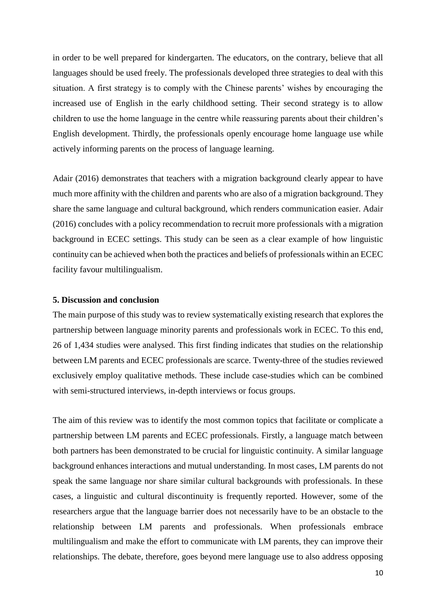in order to be well prepared for kindergarten. The educators, on the contrary, believe that all languages should be used freely. The professionals developed three strategies to deal with this situation. A first strategy is to comply with the Chinese parents' wishes by encouraging the increased use of English in the early childhood setting. Their second strategy is to allow children to use the home language in the centre while reassuring parents about their children's English development. Thirdly, the professionals openly encourage home language use while actively informing parents on the process of language learning.

Adair (2016) demonstrates that teachers with a migration background clearly appear to have much more affinity with the children and parents who are also of a migration background. They share the same language and cultural background, which renders communication easier. Adair (2016) concludes with a policy recommendation to recruit more professionals with a migration background in ECEC settings. This study can be seen as a clear example of how linguistic continuity can be achieved when both the practices and beliefs of professionals within an ECEC facility favour multilingualism.

## **5. Discussion and conclusion**

The main purpose of this study was to review systematically existing research that explores the partnership between language minority parents and professionals work in ECEC. To this end, 26 of 1,434 studies were analysed. This first finding indicates that studies on the relationship between LM parents and ECEC professionals are scarce. Twenty-three of the studies reviewed exclusively employ qualitative methods. These include case-studies which can be combined with semi-structured interviews, in-depth interviews or focus groups.

The aim of this review was to identify the most common topics that facilitate or complicate a partnership between LM parents and ECEC professionals. Firstly, a language match between both partners has been demonstrated to be crucial for linguistic continuity. A similar language background enhances interactions and mutual understanding. In most cases, LM parents do not speak the same language nor share similar cultural backgrounds with professionals. In these cases, a linguistic and cultural discontinuity is frequently reported. However, some of the researchers argue that the language barrier does not necessarily have to be an obstacle to the relationship between LM parents and professionals. When professionals embrace multilingualism and make the effort to communicate with LM parents, they can improve their relationships. The debate, therefore, goes beyond mere language use to also address opposing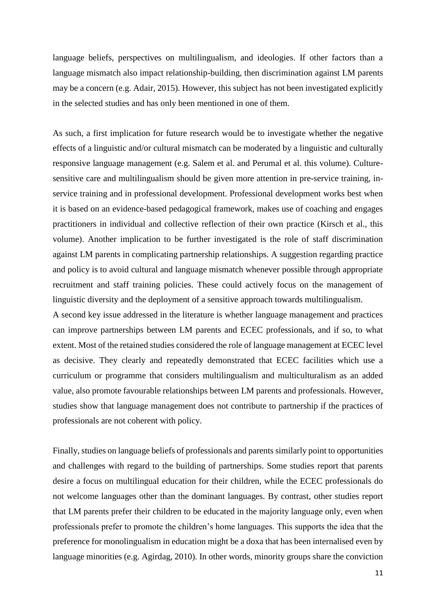language beliefs, perspectives on multilingualism, and ideologies. If other factors than a language mismatch also impact relationship-building, then discrimination against LM parents may be a concern (e.g. Adair, 2015). However, this subject has not been investigated explicitly in the selected studies and has only been mentioned in one of them.

As such, a first implication for future research would be to investigate whether the negative effects of a linguistic and/or cultural mismatch can be moderated by a linguistic and culturally responsive language management (e.g. Salem et al. and Perumal et al. this volume). Culturesensitive care and multilingualism should be given more attention in pre-service training, inservice training and in professional development. Professional development works best when it is based on an evidence-based pedagogical framework, makes use of coaching and engages practitioners in individual and collective reflection of their own practice (Kirsch et al., this volume). Another implication to be further investigated is the role of staff discrimination against LM parents in complicating partnership relationships. A suggestion regarding practice and policy is to avoid cultural and language mismatch whenever possible through appropriate recruitment and staff training policies. These could actively focus on the management of linguistic diversity and the deployment of a sensitive approach towards multilingualism.

A second key issue addressed in the literature is whether language management and practices can improve partnerships between LM parents and ECEC professionals, and if so, to what extent. Most of the retained studies considered the role of language management at ECEC level as decisive. They clearly and repeatedly demonstrated that ECEC facilities which use a curriculum or programme that considers multilingualism and multiculturalism as an added value, also promote favourable relationships between LM parents and professionals. However, studies show that language management does not contribute to partnership if the practices of professionals are not coherent with policy.

Finally, studies on language beliefs of professionals and parents similarly point to opportunities and challenges with regard to the building of partnerships. Some studies report that parents desire a focus on multilingual education for their children, while the ECEC professionals do not welcome languages other than the dominant languages. By contrast, other studies report that LM parents prefer their children to be educated in the majority language only, even when professionals prefer to promote the children's home languages. This supports the idea that the preference for monolingualism in education might be a doxa that has been internalised even by language minorities (e.g. Agirdag, 2010). In other words, minority groups share the conviction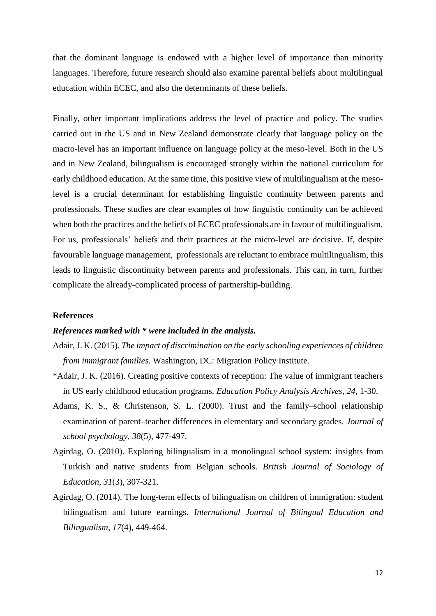that the dominant language is endowed with a higher level of importance than minority languages. Therefore, future research should also examine parental beliefs about multilingual education within ECEC, and also the determinants of these beliefs.

Finally, other important implications address the level of practice and policy. The studies carried out in the US and in New Zealand demonstrate clearly that language policy on the macro-level has an important influence on language policy at the meso-level. Both in the US and in New Zealand, bilingualism is encouraged strongly within the national curriculum for early childhood education. At the same time, this positive view of multilingualism at the mesolevel is a crucial determinant for establishing linguistic continuity between parents and professionals. These studies are clear examples of how linguistic continuity can be achieved when both the practices and the beliefs of ECEC professionals are in favour of multilingualism. For us, professionals' beliefs and their practices at the micro-level are decisive. If, despite favourable language management, professionals are reluctant to embrace multilingualism, this leads to linguistic discontinuity between parents and professionals. This can, in turn, further complicate the already-complicated process of partnership-building.

## **References**

## *References marked with \* were included in the analysis.*

- Adair, J. K. (2015). *The impact of discrimination on the early schooling experiences of children from immigrant families.* Washington, DC: Migration Policy Institute.
- \*Adair, J. K. (2016). Creating positive contexts of reception: The value of immigrant teachers in US early childhood education programs. *Education Policy Analysis Archives*, *24*, 1-30.
- Adams, K. S., & Christenson, S. L. (2000). Trust and the family–school relationship examination of parent–teacher differences in elementary and secondary grades. *Journal of school psychology*, *38*(5), 477-497.
- Agirdag, O. (2010). Exploring bilingualism in a monolingual school system: insights from Turkish and native students from Belgian schools. *British Journal of Sociology of Education, 31*(3), 307-321.
- Agirdag, O. (2014). The long-term effects of bilingualism on children of immigration: student bilingualism and future earnings. *International Journal of Bilingual Education and Bilingualism*, *17*(4), 449-464.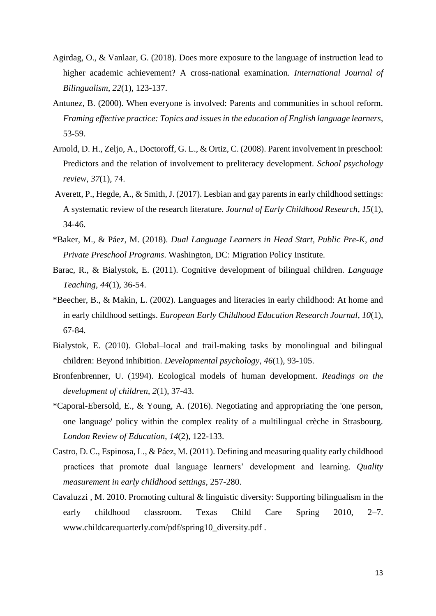- Agirdag, O., & Vanlaar, G. (2018). Does more exposure to the language of instruction lead to higher academic achievement? A cross-national examination. *International Journal of Bilingualism*, *22*(1), 123-137.
- Antunez, B. (2000). When everyone is involved: Parents and communities in school reform. *Framing effective practice: Topics and issues in the education of English language learners*, 53-59.
- Arnold, D. H., Zeljo, A., Doctoroff, G. L., & Ortiz, C. (2008). Parent involvement in preschool: Predictors and the relation of involvement to preliteracy development. *School psychology review*, *37*(1), 74.
- Averett, P., Hegde, A., & Smith, J. (2017). Lesbian and gay parents in early childhood settings: A systematic review of the research literature. *Journal of Early Childhood Research*, *15*(1), 34-46.
- \*Baker, M., & Páez, M. (2018). *Dual Language Learners in Head Start, Public Pre-K, and Private Preschool Programs*. Washington, DC: Migration Policy Institute.
- Barac, R., & Bialystok, E. (2011). Cognitive development of bilingual children. *Language Teaching*, *44*(1), 36-54.
- \*Beecher, B., & Makin, L. (2002). Languages and literacies in early childhood: At home and in early childhood settings. *European Early Childhood Education Research Journal*, *10*(1), 67-84.
- Bialystok, E. (2010). Global–local and trail-making tasks by monolingual and bilingual children: Beyond inhibition. *Developmental psychology*, *46*(1), 93-105.
- Bronfenbrenner, U. (1994). Ecological models of human development. *Readings on the development of children*, *2*(1), 37-43.
- \*Caporal-Ebersold, E., & Young, A. (2016). Negotiating and appropriating the 'one person, one language' policy within the complex reality of a multilingual crèche in Strasbourg. *London Review of Education*, *14*(2), 122-133.
- Castro, D. C., Espinosa, L., & Páez, M. (2011). Defining and measuring quality early childhood practices that promote dual language learners' development and learning. *Quality measurement in early childhood settings*, 257-280.
- Cavaluzzi , M. 2010. Promoting cultural & linguistic diversity: Supporting bilingualism in the early childhood classroom. Texas Child Care Spring 2010, 2–7. www.childcarequarterly.com/pdf/spring10\_diversity.pdf .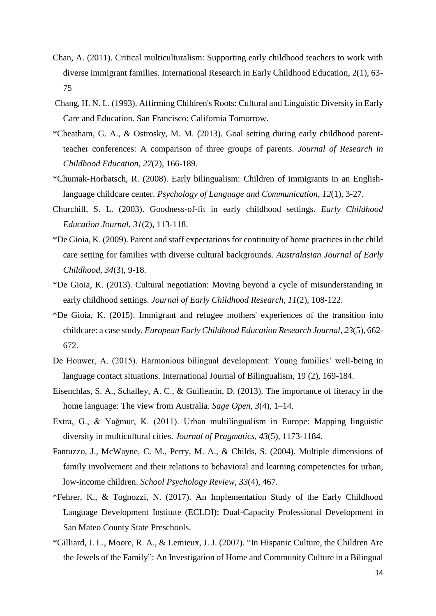- Chan, A. (2011). Critical multiculturalism: Supporting early childhood teachers to work with diverse immigrant families. International Research in Early Childhood Education, 2(1), 63- 75
- Chang, H. N. L. (1993). Affirming Children's Roots: Cultural and Linguistic Diversity in Early Care and Education. San Francisco: California Tomorrow.
- \*Cheatham, G. A., & Ostrosky, M. M. (2013). Goal setting during early childhood parentteacher conferences: A comparison of three groups of parents. *Journal of Research in Childhood Education*, *27*(2), 166-189.
- \*Chumak-Horbatsch, R. (2008). Early bilingualism: Children of immigrants in an Englishlanguage childcare center. *Psychology of Language and Communication*, *12*(1), 3-27.
- Churchill, S. L. (2003). Goodness-of-fit in early childhood settings. *Early Childhood Education Journal*, *31*(2), 113-118.
- \*De Gioia, K. (2009). Parent and staff expectations for continuity of home practices in the child care setting for families with diverse cultural backgrounds. *Australasian Journal of Early Childhood*, *34*(3), 9-18.
- \*De Gioia, K. (2013). Cultural negotiation: Moving beyond a cycle of misunderstanding in early childhood settings. *Journal of Early Childhood Research*, *11*(2), 108-122.
- \*De Gioia, K. (2015). Immigrant and refugee mothers' experiences of the transition into childcare: a case study. *European Early Childhood Education Research Journal*, *23*(5), 662- 672.
- De Houwer, A. (2015). Harmonious bilingual development: Young families' well-being in language contact situations. International Journal of Bilingualism, 19 (2), 169-184.
- Eisenchlas, S. A., Schalley, A. C., & Guillemin, D. (2013). The importance of literacy in the home language: The view from Australia. *Sage Open*, *3*(4), 1–14.
- Extra, G., & Yağmur, K. (2011). Urban multilingualism in Europe: Mapping linguistic diversity in multicultural cities. *Journal of Pragmatics*, *43*(5), 1173-1184.
- Fantuzzo, J., McWayne, C. M., Perry, M. A., & Childs, S. (2004). Multiple dimensions of family involvement and their relations to behavioral and learning competencies for urban, low-income children. *School Psychology Review*, *33*(4), 467.
- \*Fehrer, K., & Tognozzi, N. (2017). An Implementation Study of the Early Childhood Language Development Institute (ECLDI): Dual-Capacity Professional Development in San Mateo County State Preschools.
- \*Gilliard, J. L., Moore, R. A., & Lemieux, J. J. (2007). "In Hispanic Culture, the Children Are the Jewels of the Family": An Investigation of Home and Community Culture in a Bilingual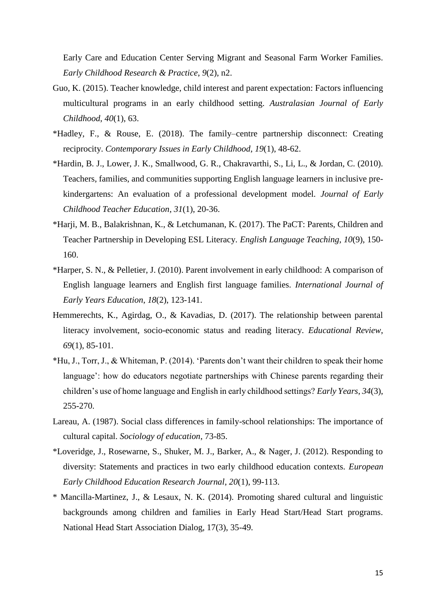Early Care and Education Center Serving Migrant and Seasonal Farm Worker Families. *Early Childhood Research & Practice*, *9*(2), n2.

- Guo, K. (2015). Teacher knowledge, child interest and parent expectation: Factors influencing multicultural programs in an early childhood setting. *Australasian Journal of Early Childhood*, *40*(1), 63.
- \*Hadley, F., & Rouse, E. (2018). The family–centre partnership disconnect: Creating reciprocity. *Contemporary Issues in Early Childhood*, *19*(1), 48-62.
- \*Hardin, B. J., Lower, J. K., Smallwood, G. R., Chakravarthi, S., Li, L., & Jordan, C. (2010). Teachers, families, and communities supporting English language learners in inclusive prekindergartens: An evaluation of a professional development model. *Journal of Early Childhood Teacher Education*, *31*(1), 20-36.
- \*Harji, M. B., Balakrishnan, K., & Letchumanan, K. (2017). The PaCT: Parents, Children and Teacher Partnership in Developing ESL Literacy. *English Language Teaching*, *10*(9), 150- 160.
- \*Harper, S. N., & Pelletier, J. (2010). Parent involvement in early childhood: A comparison of English language learners and English first language families. *International Journal of Early Years Education*, *18*(2), 123-141.
- Hemmerechts, K., Agirdag, O., & Kavadias, D. (2017). The relationship between parental literacy involvement, socio-economic status and reading literacy. *Educational Review*, *69*(1), 85-101.
- \*Hu, J., Torr, J., & Whiteman, P. (2014). 'Parents don't want their children to speak their home language': how do educators negotiate partnerships with Chinese parents regarding their children's use of home language and English in early childhood settings? *Early Years*, *34*(3), 255-270.
- Lareau, A. (1987). Social class differences in family-school relationships: The importance of cultural capital. *Sociology of education*, 73-85.
- \*Loveridge, J., Rosewarne, S., Shuker, M. J., Barker, A., & Nager, J. (2012). Responding to diversity: Statements and practices in two early childhood education contexts. *European Early Childhood Education Research Journal*, *20*(1), 99-113.
- \* Mancilla-Martinez, J., & Lesaux, N. K. (2014). Promoting shared cultural and linguistic backgrounds among children and families in Early Head Start/Head Start programs. National Head Start Association Dialog, 17(3), 35-49.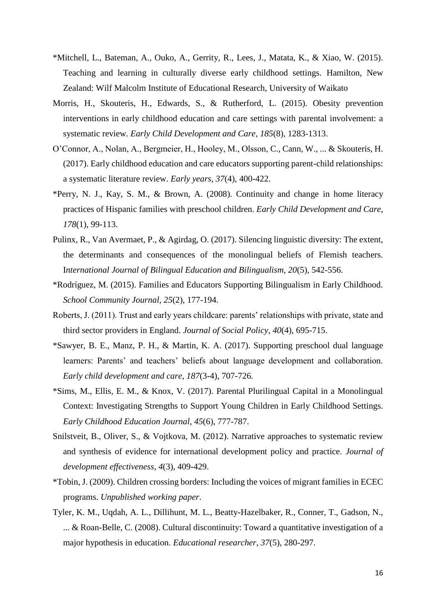- \*Mitchell, L., Bateman, A., Ouko, A., Gerrity, R., Lees, J., Matata, K., & Xiao, W. (2015). Teaching and learning in culturally diverse early childhood settings. Hamilton, New Zealand: Wilf Malcolm Institute of Educational Research, University of Waikato
- Morris, H., Skouteris, H., Edwards, S., & Rutherford, L. (2015). Obesity prevention interventions in early childhood education and care settings with parental involvement: a systematic review. *Early Child Development and Care*, *185*(8), 1283-1313.
- O'Connor, A., Nolan, A., Bergmeier, H., Hooley, M., Olsson, C., Cann, W., ... & Skouteris, H. (2017). Early childhood education and care educators supporting parent-child relationships: a systematic literature review. *Early years*, *37*(4), 400-422.
- \*Perry, N. J., Kay, S. M., & Brown, A. (2008). Continuity and change in home literacy practices of Hispanic families with preschool children. *Early Child Development and Care*, *178*(1), 99-113.
- Pulinx, R., Van Avermaet, P., & Agirdag, O. (2017). Silencing linguistic diversity: The extent, the determinants and consequences of the monolingual beliefs of Flemish teachers. I*nternational Journal of Bilingual Education and Bilingualism, 20*(5), 542-556.
- \*Rodríguez, M. (2015). Families and Educators Supporting Bilingualism in Early Childhood. *School Community Journal*, *25*(2), 177-194.
- Roberts, J. (2011). Trust and early years childcare: parents' relationships with private, state and third sector providers in England. *Journal of Social Policy*, *40*(4), 695-715.
- \*Sawyer, B. E., Manz, P. H., & Martin, K. A. (2017). Supporting preschool dual language learners: Parents' and teachers' beliefs about language development and collaboration. *Early child development and care*, *187*(3-4), 707-726.
- \*Sims, M., Ellis, E. M., & Knox, V. (2017). Parental Plurilingual Capital in a Monolingual Context: Investigating Strengths to Support Young Children in Early Childhood Settings. *Early Childhood Education Journal*, *45*(6), 777-787.
- Snilstveit, B., Oliver, S., & Vojtkova, M. (2012). Narrative approaches to systematic review and synthesis of evidence for international development policy and practice. *Journal of development effectiveness*, *4*(3), 409-429.
- \*Tobin, J. (2009). Children crossing borders: Including the voices of migrant families in ECEC programs. *Unpublished working paper*.
- Tyler, K. M., Uqdah, A. L., Dillihunt, M. L., Beatty-Hazelbaker, R., Conner, T., Gadson, N., ... & Roan-Belle, C. (2008). Cultural discontinuity: Toward a quantitative investigation of a major hypothesis in education. *Educational researcher*, *37*(5), 280-297.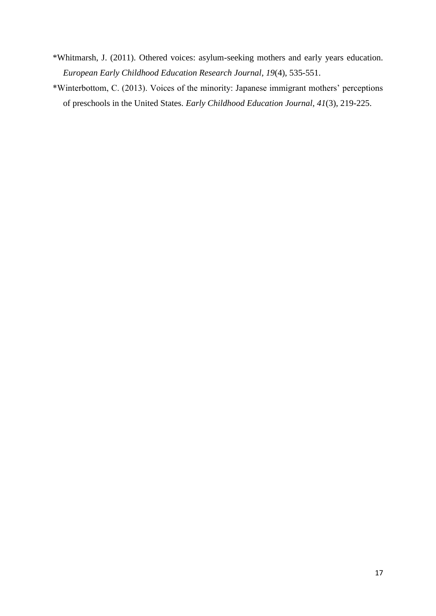- \*Whitmarsh, J. (2011). Othered voices: asylum-seeking mothers and early years education. *European Early Childhood Education Research Journal*, *19*(4), 535-551.
- \*Winterbottom, C. (2013). Voices of the minority: Japanese immigrant mothers' perceptions of preschools in the United States. *Early Childhood Education Journal*, *41*(3), 219-225.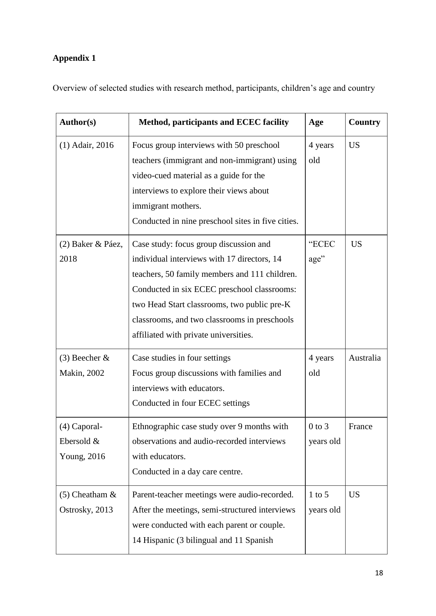# **Appendix 1**

Overview of selected studies with research method, participants, children's age and country

| <b>US</b><br>$(1)$ Adair, 2016<br>Focus group interviews with 50 preschool<br>4 years<br>teachers (immigrant and non-immigrant) using<br>old<br>video-cued material as a guide for the |
|----------------------------------------------------------------------------------------------------------------------------------------------------------------------------------------|
|                                                                                                                                                                                        |
|                                                                                                                                                                                        |
|                                                                                                                                                                                        |
| interviews to explore their views about                                                                                                                                                |
| immigrant mothers.                                                                                                                                                                     |
| Conducted in nine preschool sites in five cities.                                                                                                                                      |
| "ECEC<br>Case study: focus group discussion and<br><b>US</b><br>(2) Baker & Páez,                                                                                                      |
| 2018<br>individual interviews with 17 directors, 14<br>age"                                                                                                                            |
| teachers, 50 family members and 111 children.                                                                                                                                          |
| Conducted in six ECEC preschool classrooms:                                                                                                                                            |
| two Head Start classrooms, two public pre-K                                                                                                                                            |
| classrooms, and two classrooms in preschools                                                                                                                                           |
| affiliated with private universities.                                                                                                                                                  |
| $(3)$ Beecher &<br>Case studies in four settings<br>Australia<br>4 years                                                                                                               |
| <b>Makin</b> , 2002<br>Focus group discussions with families and<br>old                                                                                                                |
| interviews with educators.                                                                                                                                                             |
| Conducted in four ECEC settings                                                                                                                                                        |
| (4) Caporal-<br>Ethnographic case study over 9 months with<br>$0$ to $3$<br>France                                                                                                     |
| observations and audio-recorded interviews<br>Ebersold &<br>years old                                                                                                                  |
| with educators.<br>Young, 2016                                                                                                                                                         |
| Conducted in a day care centre.                                                                                                                                                        |
| <b>US</b><br>$(5)$ Cheatham &<br>Parent-teacher meetings were audio-recorded.<br>$1$ to $5$                                                                                            |
| Ostrosky, 2013<br>After the meetings, semi-structured interviews<br>years old                                                                                                          |
| were conducted with each parent or couple.                                                                                                                                             |
| 14 Hispanic (3 bilingual and 11 Spanish                                                                                                                                                |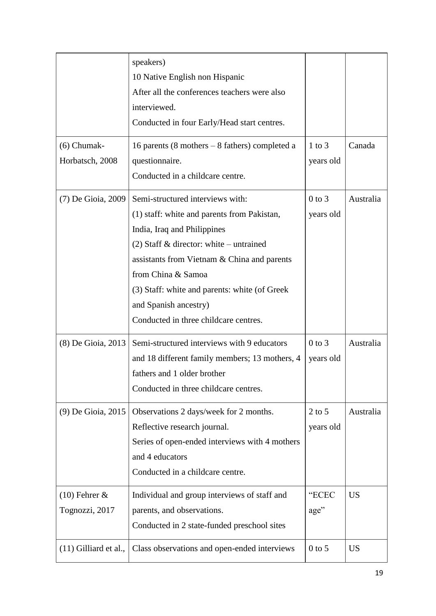|                         | speakers)                                                                      |            |           |
|-------------------------|--------------------------------------------------------------------------------|------------|-----------|
|                         | 10 Native English non Hispanic<br>After all the conferences teachers were also |            |           |
|                         | interviewed.                                                                   |            |           |
|                         | Conducted in four Early/Head start centres.                                    |            |           |
|                         |                                                                                |            |           |
| $(6)$ Chumak-           | 16 parents (8 mothers $-8$ fathers) completed a                                | $1$ to $3$ | Canada    |
| Horbatsch, 2008         | questionnaire.                                                                 | years old  |           |
|                         | Conducted in a childcare centre.                                               |            |           |
| (7) De Gioia, 2009      | Semi-structured interviews with:                                               | $0$ to $3$ | Australia |
|                         | (1) staff: white and parents from Pakistan,                                    | years old  |           |
|                         | India, Iraq and Philippines                                                    |            |           |
|                         | (2) Staff & director: white – untrained                                        |            |           |
|                         | assistants from Vietnam & China and parents                                    |            |           |
|                         | from China & Samoa                                                             |            |           |
|                         | (3) Staff: white and parents: white (of Greek)                                 |            |           |
|                         | and Spanish ancestry)                                                          |            |           |
|                         | Conducted in three childcare centres.                                          |            |           |
| (8) De Gioia, 2013      | Semi-structured interviews with 9 educators                                    | $0$ to $3$ | Australia |
|                         | and 18 different family members; 13 mothers, 4                                 | years old  |           |
|                         | fathers and 1 older brother                                                    |            |           |
|                         | Conducted in three childcare centres.                                          |            |           |
| (9) De Gioia, 2015      | Observations 2 days/week for 2 months.                                         | $2$ to $5$ | Australia |
|                         | Reflective research journal.                                                   | years old  |           |
|                         | Series of open-ended interviews with 4 mothers                                 |            |           |
|                         | and 4 educators                                                                |            |           |
|                         | Conducted in a childcare centre.                                               |            |           |
| $(10)$ Fehrer &         | Individual and group interviews of staff and                                   | "ECEC      | <b>US</b> |
| Tognozzi, 2017          | parents, and observations.                                                     | age"       |           |
|                         | Conducted in 2 state-funded preschool sites                                    |            |           |
| $(11)$ Gilliard et al., | Class observations and open-ended interviews                                   | $0$ to 5   | <b>US</b> |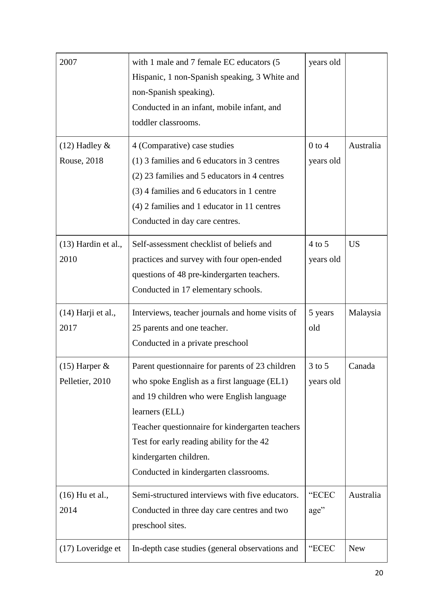| 2007                  | with 1 male and 7 female EC educators (5<br>Hispanic, 1 non-Spanish speaking, 3 White and<br>non-Spanish speaking).<br>Conducted in an infant, mobile infant, and<br>toddler classrooms. | years old  |           |
|-----------------------|------------------------------------------------------------------------------------------------------------------------------------------------------------------------------------------|------------|-----------|
| $(12)$ Hadley &       | 4 (Comparative) case studies                                                                                                                                                             | $0$ to $4$ | Australia |
| Rouse, 2018           | $(1)$ 3 families and 6 educators in 3 centres                                                                                                                                            | years old  |           |
|                       | (2) 23 families and 5 educators in 4 centres                                                                                                                                             |            |           |
|                       | (3) 4 families and 6 educators in 1 centre                                                                                                                                               |            |           |
|                       | $(4)$ 2 families and 1 educator in 11 centres                                                                                                                                            |            |           |
|                       | Conducted in day care centres.                                                                                                                                                           |            |           |
| $(13)$ Hardin et al., | Self-assessment checklist of beliefs and                                                                                                                                                 | $4$ to 5   | <b>US</b> |
| 2010                  | practices and survey with four open-ended                                                                                                                                                | years old  |           |
|                       | questions of 48 pre-kindergarten teachers.                                                                                                                                               |            |           |
|                       | Conducted in 17 elementary schools.                                                                                                                                                      |            |           |
| $(14)$ Harji et al.,  | Interviews, teacher journals and home visits of                                                                                                                                          | 5 years    | Malaysia  |
|                       |                                                                                                                                                                                          |            |           |
| 2017                  | 25 parents and one teacher.                                                                                                                                                              | old        |           |
|                       | Conducted in a private preschool                                                                                                                                                         |            |           |
| $(15)$ Harper &       | Parent questionnaire for parents of 23 children                                                                                                                                          | $3$ to $5$ | Canada    |
| Pelletier, 2010       | who spoke English as a first language (EL1)                                                                                                                                              | years old  |           |
|                       | and 19 children who were English language                                                                                                                                                |            |           |
|                       | learners (ELL)                                                                                                                                                                           |            |           |
|                       | Teacher questionnaire for kindergarten teachers                                                                                                                                          |            |           |
|                       | Test for early reading ability for the 42                                                                                                                                                |            |           |
|                       | kindergarten children.                                                                                                                                                                   |            |           |
|                       | Conducted in kindergarten classrooms.                                                                                                                                                    |            |           |
| $(16)$ Hu et al.,     | Semi-structured interviews with five educators.                                                                                                                                          | "ECEC      | Australia |
| 2014                  | Conducted in three day care centres and two                                                                                                                                              | age"       |           |
|                       | preschool sites.                                                                                                                                                                         |            |           |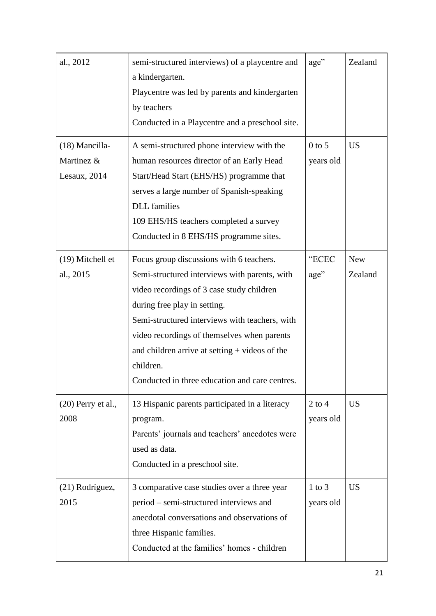| al., 2012            | semi-structured interviews) of a playcentre and<br>a kindergarten.<br>Playcentre was led by parents and kindergarten<br>by teachers<br>Conducted in a Playcentre and a preschool site. | age"       | Zealand    |
|----------------------|----------------------------------------------------------------------------------------------------------------------------------------------------------------------------------------|------------|------------|
| (18) Mancilla-       | A semi-structured phone interview with the                                                                                                                                             | $0$ to 5   | <b>US</b>  |
| Martinez &           | human resources director of an Early Head                                                                                                                                              | years old  |            |
| Lesaux, 2014         | Start/Head Start (EHS/HS) programme that                                                                                                                                               |            |            |
|                      | serves a large number of Spanish-speaking                                                                                                                                              |            |            |
|                      | <b>DLL</b> families                                                                                                                                                                    |            |            |
|                      | 109 EHS/HS teachers completed a survey                                                                                                                                                 |            |            |
|                      | Conducted in 8 EHS/HS programme sites.                                                                                                                                                 |            |            |
| (19) Mitchell et     | Focus group discussions with 6 teachers.                                                                                                                                               | "ECEC      | <b>New</b> |
| al., 2015            | Semi-structured interviews with parents, with                                                                                                                                          | age"       | Zealand    |
|                      | video recordings of 3 case study children                                                                                                                                              |            |            |
|                      | during free play in setting.                                                                                                                                                           |            |            |
|                      | Semi-structured interviews with teachers, with                                                                                                                                         |            |            |
|                      | video recordings of themselves when parents                                                                                                                                            |            |            |
|                      | and children arrive at setting $+$ videos of the                                                                                                                                       |            |            |
|                      | children.                                                                                                                                                                              |            |            |
|                      | Conducted in three education and care centres                                                                                                                                          |            |            |
| $(20)$ Perry et al., | 13 Hispanic parents participated in a literacy                                                                                                                                         | $2$ to $4$ | <b>US</b>  |
| 2008                 | program.                                                                                                                                                                               | years old  |            |
|                      | Parents' journals and teachers' anecdotes were                                                                                                                                         |            |            |
|                      | used as data.                                                                                                                                                                          |            |            |
|                      | Conducted in a preschool site.                                                                                                                                                         |            |            |
| (21) Rodríguez,      | 3 comparative case studies over a three year                                                                                                                                           | $1$ to $3$ | <b>US</b>  |
| 2015                 | period – semi-structured interviews and                                                                                                                                                | years old  |            |
|                      | anecdotal conversations and observations of                                                                                                                                            |            |            |
|                      | three Hispanic families.                                                                                                                                                               |            |            |
|                      | Conducted at the families' homes - children                                                                                                                                            |            |            |
|                      |                                                                                                                                                                                        |            |            |